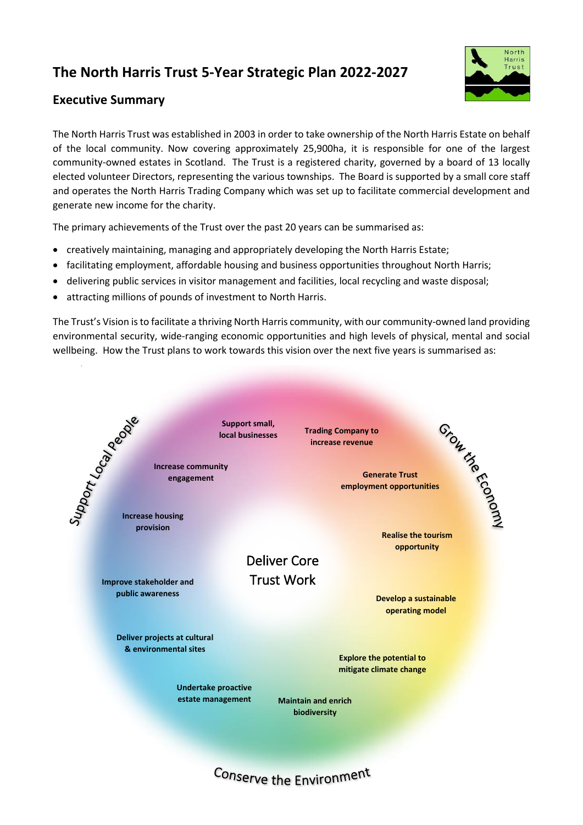## **The North Harris Trust 5-Year Strategic Plan 2022-2027**



## **Executive Summary**

The North Harris Trust was established in 2003 in order to take ownership of the North Harris Estate on behalf of the local community. Now covering approximately 25,900ha, it is responsible for one of the largest community-owned estates in Scotland. The Trust is a registered charity, governed by a board of 13 locally elected volunteer Directors, representing the various townships. The Board is supported by a small core staff and operates the North Harris Trading Company which was set up to facilitate commercial development and generate new income for the charity.

The primary achievements of the Trust over the past 20 years can be summarised as:

- creatively maintaining, managing and appropriately developing the North Harris Estate;
- facilitating employment, affordable housing and business opportunities throughout North Harris;
- delivering public services in visitor management and facilities, local recycling and waste disposal;
- attracting millions of pounds of investment to North Harris.

The Trust's Vision is to facilitate a thriving North Harris community, with our community-owned land providing environmental security, wide-ranging economic opportunities and high levels of physical, mental and social wellbeing. How the Trust plans to work towards this vision over the next five years is summarised as: